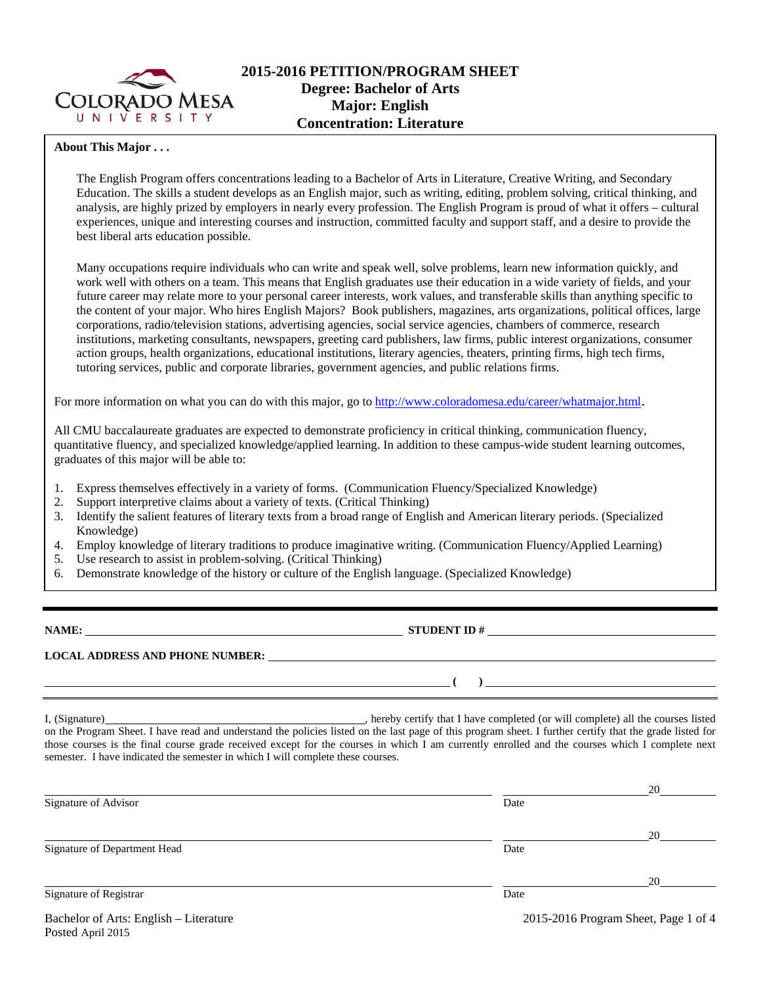

## **About This Major . . .**

The English Program offers concentrations leading to a Bachelor of Arts in Literature, Creative Writing, and Secondary Education. The skills a student develops as an English major, such as writing, editing, problem solving, critical thinking, and analysis, are highly prized by employers in nearly every profession. The English Program is proud of what it offers – cultural experiences, unique and interesting courses and instruction, committed faculty and support staff, and a desire to provide the best liberal arts education possible.

Many occupations require individuals who can write and speak well, solve problems, learn new information quickly, and work well with others on a team. This means that English graduates use their education in a wide variety of fields, and your future career may relate more to your personal career interests, work values, and transferable skills than anything specific to the content of your major. Who hires English Majors? Book publishers, magazines, arts organizations, political offices, large corporations, radio/television stations, advertising agencies, social service agencies, chambers of commerce, research institutions, marketing consultants, newspapers, greeting card publishers, law firms, public interest organizations, consumer action groups, health organizations, educational institutions, literary agencies, theaters, printing firms, high tech firms, tutoring services, public and corporate libraries, government agencies, and public relations firms.

For more information on what you can do with this major, go to http://www.coloradomesa.edu/career/whatmajor.html.

All CMU baccalaureate graduates are expected to demonstrate proficiency in critical thinking, communication fluency, quantitative fluency, and specialized knowledge/applied learning. In addition to these campus-wide student learning outcomes, graduates of this major will be able to:

- 1. Express themselves effectively in a variety of forms. (Communication Fluency/Specialized Knowledge)
- 2. Support interpretive claims about a variety of texts. (Critical Thinking)
- 3. Identify the salient features of literary texts from a broad range of English and American literary periods. (Specialized Knowledge)
- 4. Employ knowledge of literary traditions to produce imaginative writing. (Communication Fluency/Applied Learning)
- 5. Use research to assist in problem-solving. (Critical Thinking)
- 6. Demonstrate knowledge of the history or culture of the English language. (Specialized Knowledge)

**NAME: STUDENT ID #** 

**LOCAL ADDRESS AND PHONE NUMBER:**

I, (Signature) , hereby certify that I have completed (or will complete) all the courses listed on the Program Sheet. I have read and understand the policies listed on the last page of this program sheet. I further certify that the grade listed for those courses is the final course grade received except for the courses in which I am currently enrolled and the courses which I complete next semester. I have indicated the semester in which I will complete these courses.

|                                        |                                      | 20 |  |
|----------------------------------------|--------------------------------------|----|--|
| Signature of Advisor                   | Date                                 |    |  |
|                                        |                                      | 20 |  |
| Signature of Department Head           | Date                                 |    |  |
|                                        |                                      | 20 |  |
| Signature of Registrar                 | Date                                 |    |  |
| Bachelor of Arts: English – Literature | 2015-2016 Program Sheet, Page 1 of 4 |    |  |

Posted April 2015

 **( )**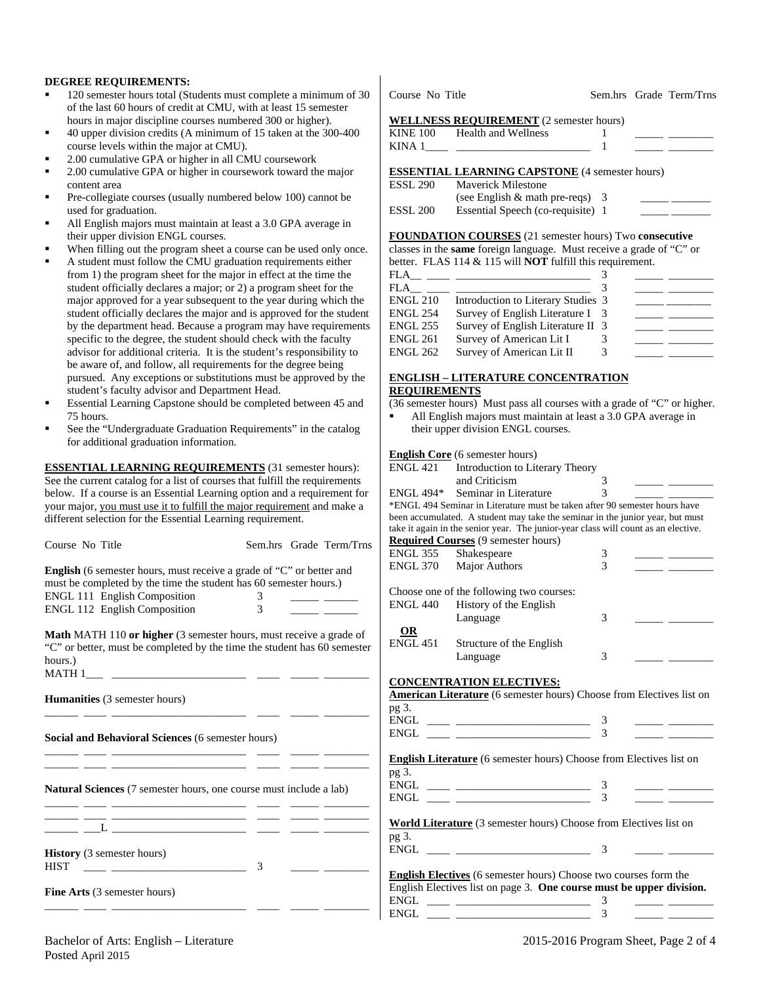#### **DEGREE REQUIREMENTS:**

- 120 semester hours total (Students must complete a minimum of 30 of the last 60 hours of credit at CMU, with at least 15 semester hours in major discipline courses numbered 300 or higher).
- 40 upper division credits (A minimum of 15 taken at the 300-400 course levels within the major at CMU).
- 2.00 cumulative GPA or higher in all CMU coursework
- 2.00 cumulative GPA or higher in coursework toward the major content area
- Pre-collegiate courses (usually numbered below 100) cannot be used for graduation.
- All English majors must maintain at least a 3.0 GPA average in their upper division ENGL courses.
- When filling out the program sheet a course can be used only once.
- A student must follow the CMU graduation requirements either from 1) the program sheet for the major in effect at the time the student officially declares a major; or 2) a program sheet for the major approved for a year subsequent to the year during which the student officially declares the major and is approved for the student by the department head. Because a program may have requirements specific to the degree, the student should check with the faculty advisor for additional criteria. It is the student's responsibility to be aware of, and follow, all requirements for the degree being pursued. Any exceptions or substitutions must be approved by the student's faculty advisor and Department Head.
- Essential Learning Capstone should be completed between 45 and 75 hours.
- See the "Undergraduate Graduation Requirements" in the catalog for additional graduation information.

**ESSENTIAL LEARNING REQUIREMENTS** (31 semester hours): See the current catalog for a list of courses that fulfill the requirements below. If a course is an Essential Learning option and a requirement for your major, you must use it to fulfill the major requirement and make a different selection for the Essential Learning requirement.

| Course No Title                                                                                                                                                                                                                      | Sem.hrs Grade Term/Trns |                 | <b>Required Courses (9 semester hours)</b>                                                                                                                                                                                                                                                                                                                              |               |  |
|--------------------------------------------------------------------------------------------------------------------------------------------------------------------------------------------------------------------------------------|-------------------------|-----------------|-------------------------------------------------------------------------------------------------------------------------------------------------------------------------------------------------------------------------------------------------------------------------------------------------------------------------------------------------------------------------|---------------|--|
|                                                                                                                                                                                                                                      |                         | ENGL 355        | Shakespeare                                                                                                                                                                                                                                                                                                                                                             | 3             |  |
| <b>English</b> (6 semester hours, must receive a grade of "C" or better and                                                                                                                                                          |                         | <b>ENGL 370</b> | Major Authors                                                                                                                                                                                                                                                                                                                                                           | 3             |  |
|                                                                                                                                                                                                                                      |                         |                 |                                                                                                                                                                                                                                                                                                                                                                         |               |  |
| must be completed by the time the student has 60 semester hours.)                                                                                                                                                                    |                         |                 | Choose one of the following two courses:                                                                                                                                                                                                                                                                                                                                |               |  |
| <b>ENGL 111 English Composition</b>                                                                                                                                                                                                  | 3                       | <b>ENGL 440</b> | History of the English                                                                                                                                                                                                                                                                                                                                                  |               |  |
| <b>ENGL 112 English Composition</b>                                                                                                                                                                                                  | 3                       |                 | Language                                                                                                                                                                                                                                                                                                                                                                | 3             |  |
|                                                                                                                                                                                                                                      |                         |                 |                                                                                                                                                                                                                                                                                                                                                                         |               |  |
| Math MATH 110 or higher (3 semester hours, must receive a grade of                                                                                                                                                                   |                         | OR              |                                                                                                                                                                                                                                                                                                                                                                         |               |  |
| "C" or better, must be completed by the time the student has 60 semester                                                                                                                                                             |                         | <b>ENGL 451</b> | Structure of the English                                                                                                                                                                                                                                                                                                                                                |               |  |
| hours.)                                                                                                                                                                                                                              |                         |                 | Language                                                                                                                                                                                                                                                                                                                                                                | 3             |  |
|                                                                                                                                                                                                                                      |                         |                 |                                                                                                                                                                                                                                                                                                                                                                         |               |  |
|                                                                                                                                                                                                                                      |                         |                 | <b>CONCENTRATION ELECTIVES:</b>                                                                                                                                                                                                                                                                                                                                         |               |  |
| <b>Humanities</b> (3 semester hours)                                                                                                                                                                                                 |                         |                 | <b>American Literature</b> (6 semester hours) Choose from Electives list on                                                                                                                                                                                                                                                                                             |               |  |
|                                                                                                                                                                                                                                      |                         | pg 3.           |                                                                                                                                                                                                                                                                                                                                                                         |               |  |
|                                                                                                                                                                                                                                      |                         |                 |                                                                                                                                                                                                                                                                                                                                                                         |               |  |
|                                                                                                                                                                                                                                      |                         | ENGL            | <u> 1989 - Alexandr Start, fransk politik (d. 19</u>                                                                                                                                                                                                                                                                                                                    |               |  |
| <b>Social and Behavioral Sciences (6 semester hours)</b>                                                                                                                                                                             |                         |                 |                                                                                                                                                                                                                                                                                                                                                                         |               |  |
|                                                                                                                                                                                                                                      |                         |                 | <b>English Literature</b> (6 semester hours) Choose from Electives list on                                                                                                                                                                                                                                                                                              |               |  |
|                                                                                                                                                                                                                                      |                         |                 |                                                                                                                                                                                                                                                                                                                                                                         |               |  |
|                                                                                                                                                                                                                                      |                         | pg 3.           |                                                                                                                                                                                                                                                                                                                                                                         |               |  |
| <b>Natural Sciences</b> (7 semester hours, one course must include a lab)                                                                                                                                                            |                         |                 | $ENGL \begin{tabular}{c} \begin{tabular}{@{}c@{}} \quad \quad \quad & \quad \quad & \quad \quad \\ \hline \end{tabular} \end{tabular}$                                                                                                                                                                                                                                  | 3             |  |
| <u>and the contract of the contract of the contract of the contract of the contract of the contract of the contract of the contract of the contract of the contract of the contract of the contract of the contract of the contr</u> |                         |                 | $ENGL$ and $I$ and $I$ and $I$ and $I$ and $I$ and $I$ and $I$ and $I$ and $I$ and $I$ and $I$ and $I$ and $I$ and $I$ and $I$ and $I$ and $I$ and $I$ and $I$ and $I$ and $I$ and $I$ and $I$ and $I$ and $I$ and $I$ and $I$                                                                                                                                          |               |  |
| <u> 1989 - Jan Salaman, masjid al-Alaman, masjid al-Alaman, masjid al-Alaman, masjid al-Alaman, masjid al-Alaman, </u>                                                                                                               |                         |                 |                                                                                                                                                                                                                                                                                                                                                                         |               |  |
|                                                                                                                                                                                                                                      |                         |                 | <b>World Literature</b> (3 semester hours) Choose from Electives list on                                                                                                                                                                                                                                                                                                |               |  |
|                                                                                                                                                                                                                                      |                         | pg 3.           |                                                                                                                                                                                                                                                                                                                                                                         |               |  |
|                                                                                                                                                                                                                                      |                         |                 |                                                                                                                                                                                                                                                                                                                                                                         | $\mathcal{F}$ |  |
| <b>History</b> (3 semester hours)                                                                                                                                                                                                    |                         |                 |                                                                                                                                                                                                                                                                                                                                                                         |               |  |
| <b>HIST</b>                                                                                                                                                                                                                          | 3                       |                 | <b>English Electives</b> (6 semester hours) Choose two courses form the                                                                                                                                                                                                                                                                                                 |               |  |
|                                                                                                                                                                                                                                      |                         |                 | English Electives list on page 3. One course must be upper division.                                                                                                                                                                                                                                                                                                    |               |  |
| <b>Fine Arts</b> (3 semester hours)                                                                                                                                                                                                  |                         |                 |                                                                                                                                                                                                                                                                                                                                                                         |               |  |
|                                                                                                                                                                                                                                      |                         |                 | $\begin{picture}(150,10) \put(0,0){\dashbox{0.5}(10,0){ }} \put(15,0){\dashbox{0.5}(10,0){ }} \put(15,0){\dashbox{0.5}(10,0){ }} \put(15,0){\dashbox{0.5}(10,0){ }} \put(15,0){\dashbox{0.5}(10,0){ }} \put(15,0){\dashbox{0.5}(10,0){ }} \put(15,0){\dashbox{0.5}(10,0){ }} \put(15,0){\dashbox{0.5}(10,0){ }} \put(15,0){\dashbox{0.5}(10,0){ }} \put(15,0){\dashbox$ |               |  |
|                                                                                                                                                                                                                                      |                         | ENGL            |                                                                                                                                                                                                                                                                                                                                                                         |               |  |

| WELLINESS REQUIREMENT (2 semester nours)              |  |  |
|-------------------------------------------------------|--|--|
| KINE 100 Health and Wellness                          |  |  |
|                                                       |  |  |
|                                                       |  |  |
| <b>ESSENTIAL LEARNING CAPSTONE (4 semester hours)</b> |  |  |
| ESSL 290 Maverick Milestone                           |  |  |
|                                                       |  |  |

|          | (see English $&$ math pre-reqs) 3 |  |
|----------|-----------------------------------|--|
| ESSL 200 | Essential Speech (co-requisite) 1 |  |

**FOUNDATION COURSES** (21 semester hours) Two **consecutive**

classes in the **same** foreign language. Must receive a grade of "C" or

|                 | better. FLAS $114 \& 115$ will <b>NOT</b> fulfill this requirement. |  |  |
|-----------------|---------------------------------------------------------------------|--|--|
| FLA.            |                                                                     |  |  |
| FLA.            |                                                                     |  |  |
| <b>ENGL 210</b> | Introduction to Literary Studies 3                                  |  |  |
| <b>ENGL 254</b> | Survey of English Literature I 3                                    |  |  |
| <b>ENGL 255</b> | Survey of English Literature II 3                                   |  |  |
| <b>ENGL 261</b> | Survey of American Lit I                                            |  |  |

## **ENGLISH – LITERATURE CONCENTRATION REQUIREMENTS**

ENGL 262 Survey of American Lit II 3

(36 semester hours) Must pass all courses with a grade of "C" or higher. All English majors must maintain at least a 3.0 GPA average in their upper division ENGL courses.

**English Core** (6 semester hours)<br>**ENGL 421** Introduction to Lit

| ENGL 421         | Introduction to Literary Theory                                                                                                                                                                                                      |                          |  |
|------------------|--------------------------------------------------------------------------------------------------------------------------------------------------------------------------------------------------------------------------------------|--------------------------|--|
|                  | and Criticism                                                                                                                                                                                                                        | 3                        |  |
| <b>ENGL 494*</b> | Seminar in Literature                                                                                                                                                                                                                | $\overline{\mathcal{E}}$ |  |
|                  | *ENGL 494 Seminar in Literature must be taken after 90 semester hours have                                                                                                                                                           |                          |  |
|                  | been accumulated. A student may take the seminar in the junior year, but must                                                                                                                                                        |                          |  |
|                  | take it again in the senior year. The junior-year class will count as an elective.                                                                                                                                                   |                          |  |
|                  | <b>Required Courses</b> (9 semester hours)                                                                                                                                                                                           |                          |  |
| <b>ENGL 355</b>  | Shakespeare                                                                                                                                                                                                                          | 3                        |  |
| ENGL 370         | <b>Major Authors</b>                                                                                                                                                                                                                 | $\mathcal{E}$            |  |
|                  | Choose one of the following two courses:                                                                                                                                                                                             |                          |  |
| ENGL 440         | History of the English                                                                                                                                                                                                               |                          |  |
|                  | Language                                                                                                                                                                                                                             | 3                        |  |
| <b>OR</b>        |                                                                                                                                                                                                                                      |                          |  |
| <b>ENGL 451</b>  | Structure of the English                                                                                                                                                                                                             |                          |  |
|                  | Language                                                                                                                                                                                                                             | 3                        |  |
| pg 3.            | <b>CONCENTRATION ELECTIVES:</b><br><b>American Literature</b> (6 semester hours) Choose from Electives list on                                                                                                                       |                          |  |
| ENGL             |                                                                                                                                                                                                                                      | 3                        |  |
| <b>ENGL</b>      | <u>and provide the state of the state of the state of the state of the state of the state of the state of the state of the state of the state of the state of the state of the state of the state of the state of the state of t</u> |                          |  |
|                  |                                                                                                                                                                                                                                      |                          |  |
|                  | <b>English Literature</b> (6 semester hours) Choose from Electives list on                                                                                                                                                           |                          |  |
| pg 3.            |                                                                                                                                                                                                                                      |                          |  |
| <b>ENGL</b>      |                                                                                                                                                                                                                                      |                          |  |
|                  |                                                                                                                                                                                                                                      |                          |  |
|                  | <b>World Literature</b> (3 semester hours) Choose from Electives list on                                                                                                                                                             |                          |  |
| pg 3.            |                                                                                                                                                                                                                                      |                          |  |
| <b>ENGL</b>      | <u> 1990 - Johann Stein, mars an deus Amerikaansk kommunister (</u>                                                                                                                                                                  | 3                        |  |
|                  | <b>English Floctives</b> (6 semester hours) Choose two courses form the                                                                                                                                                              |                          |  |

Course No Title Sem.hrs Grade Term/Trns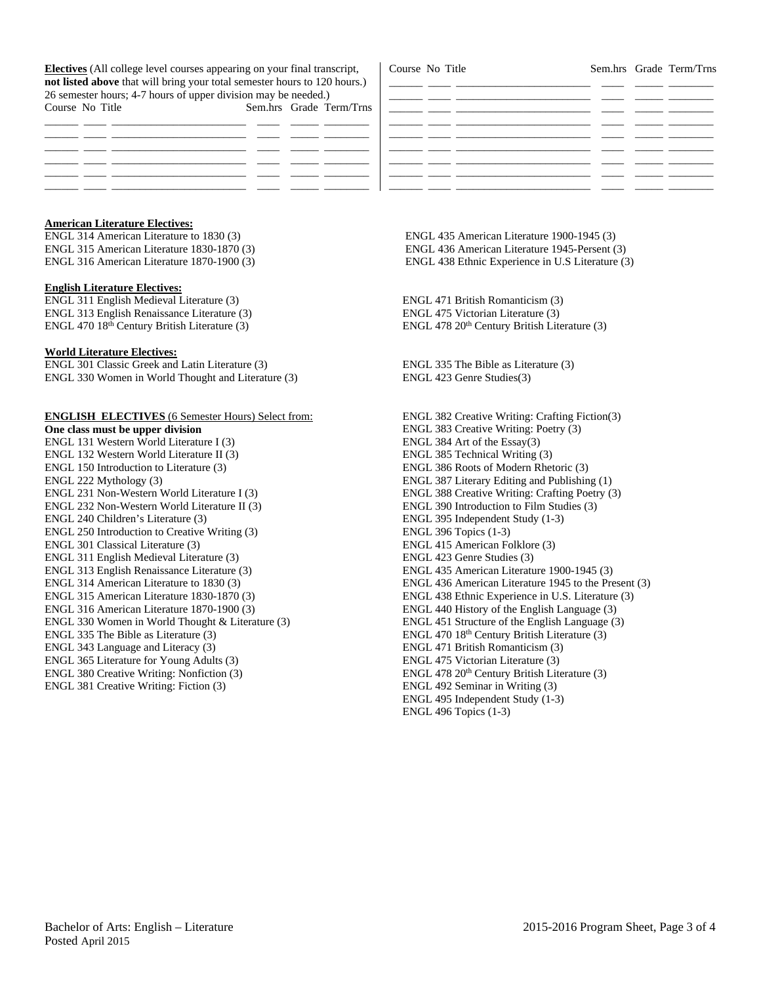**Electives** (All college level courses appearing on your final transcript, **not listed above** that will bring your total semester hours to 120 hours.) 26 semester hours; 4-7 hours of upper division may be needed.) Course No Title Sem.hrs Grade Term/Trns

| Course No Title |                                                           |  | Sem.hrs Grade Term/Trns |
|-----------------|-----------------------------------------------------------|--|-------------------------|
|                 |                                                           |  |                         |
|                 |                                                           |  |                         |
|                 | <u> 1999 - Jan James James, participant et al. (2001)</u> |  |                         |
|                 |                                                           |  |                         |
|                 |                                                           |  |                         |
|                 |                                                           |  |                         |
|                 |                                                           |  |                         |
|                 |                                                           |  |                         |

# **American Literature Electives:**

ENGL 314 American Literature to 1830 (3) ENGL 315 American Literature 1830-1870 (3) ENGL 316 American Literature 1870-1900 (3)

#### **English Literature Electives:**

ENGL 311 English Medieval Literature (3) ENGL 313 English Renaissance Literature (3) ENGL 470 18<sup>th</sup> Century British Literature (3)

#### **World Literature Electives:**

ENGL 301 Classic Greek and Latin Literature (3) ENGL 330 Women in World Thought and Literature (3)

### **ENGLISH ELECTIVES** (6 Semester Hours) Select from:

**One class must be upper division** ENGL 131 Western World Literature I (3) ENGL 132 Western World Literature II (3) ENGL 150 Introduction to Literature (3) ENGL 222 Mythology (3) ENGL 231 Non-Western World Literature I (3) ENGL 232 Non-Western World Literature II (3) ENGL 240 Children's Literature (3) ENGL 250 Introduction to Creative Writing (3) ENGL 301 Classical Literature (3) ENGL 311 English Medieval Literature (3) ENGL 313 English Renaissance Literature (3) ENGL 314 American Literature to 1830 (3) ENGL 315 American Literature 1830-1870 (3) ENGL 316 American Literature 1870-1900 (3) ENGL 330 Women in World Thought & Literature (3) ENGL 335 The Bible as Literature (3) ENGL 343 Language and Literacy (3) ENGL 365 Literature for Young Adults (3) ENGL 380 Creative Writing: Nonfiction (3) ENGL 381 Creative Writing: Fiction (3)

 ENGL 435 American Literature 1900-1945 (3) ENGL 436 American Literature 1945-Persent (3) ENGL 438 Ethnic Experience in U.S Literature (3)

ENGL 471 British Romanticism (3) ENGL 475 Victorian Literature (3) ENGL 478 20<sup>th</sup> Century British Literature (3)

ENGL 335 The Bible as Literature (3) ENGL 423 Genre Studies(3)

ENGL 382 Creative Writing: Crafting Fiction(3) ENGL 383 Creative Writing: Poetry (3) ENGL 384 Art of the Essay(3) ENGL 385 Technical Writing (3) ENGL 386 Roots of Modern Rhetoric (3) ENGL 387 Literary Editing and Publishing (1) ENGL 388 Creative Writing: Crafting Poetry (3) ENGL 390 Introduction to Film Studies (3) ENGL 395 Independent Study (1-3) ENGL 396 Topics (1-3) ENGL 415 American Folklore (3) ENGL 423 Genre Studies (3) ENGL 435 American Literature 1900-1945 (3) ENGL 436 American Literature 1945 to the Present (3) ENGL 438 Ethnic Experience in U.S. Literature (3) ENGL 440 History of the English Language (3) ENGL 451 Structure of the English Language (3) ENGL 470 18<sup>th</sup> Century British Literature (3) ENGL 471 British Romanticism (3) ENGL 475 Victorian Literature (3) ENGL 478 20<sup>th</sup> Century British Literature (3) ENGL 492 Seminar in Writing (3) ENGL 495 Independent Study (1-3) ENGL 496 Topics (1-3)